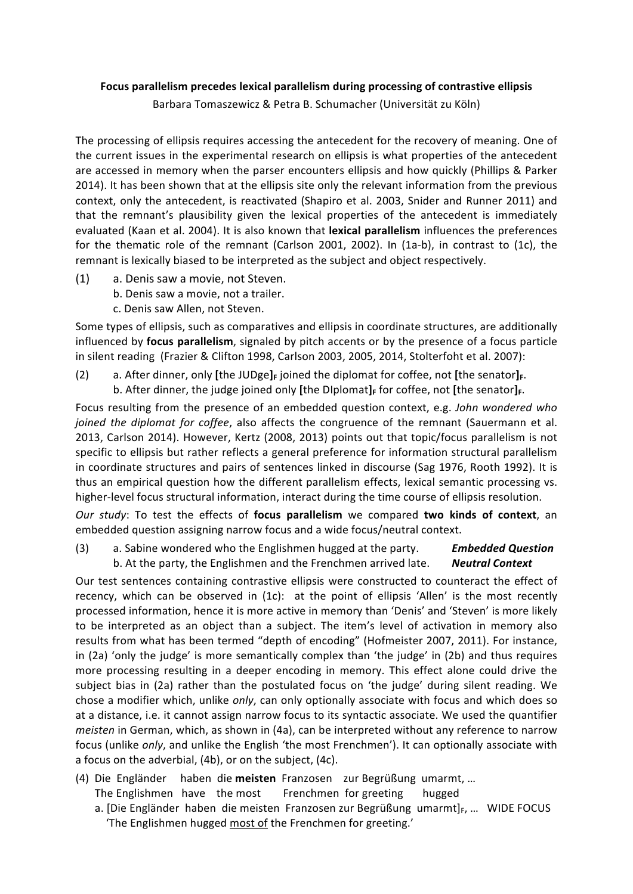## Focus parallelism precedes lexical parallelism during processing of contrastive ellipsis

Barbara Tomaszewicz & Petra B. Schumacher (Universität zu Köln)

The processing of ellipsis requires accessing the antecedent for the recovery of meaning. One of the current issues in the experimental research on ellipsis is what properties of the antecedent are accessed in memory when the parser encounters ellipsis and how quickly (Phillips & Parker 2014). It has been shown that at the ellipsis site only the relevant information from the previous context, only the antecedent, is reactivated (Shapiro et al. 2003, Snider and Runner 2011) and that the remnant's plausibility given the lexical properties of the antecedent is immediately evaluated (Kaan et al. 2004). It is also known that lexical parallelism influences the preferences for the thematic role of the remnant (Carlson 2001, 2002). In (1a-b), in contrast to (1c), the remnant is lexically biased to be interpreted as the subject and object respectively.

- (1) a. Denis saw a movie, not Steven.
	- b. Denis saw a movie, not a trailer.
	- c. Denis saw Allen, not Steven.

Some types of ellipsis, such as comparatives and ellipsis in coordinate structures, are additionally influenced by **focus parallelism**, signaled by pitch accents or by the presence of a focus particle in silent reading (Frazier & Clifton 1998, Carlson 2003, 2005, 2014, Stolterfoht et al. 2007):

(2) a. After dinner, only [the JUDge]<sub>F</sub> joined the diplomat for coffee, not [the senator]<sub>F</sub>. b. After dinner, the judge joined only [the DIplomat]<sub>F</sub> for coffee, not [the senator]<sub>F</sub>.

Focus resulting from the presence of an embedded question context, e.g. *John wondered who joined the diplomat for coffee*, also affects the congruence of the remnant (Sauermann et al. 2013, Carlson 2014). However, Kertz (2008, 2013) points out that topic/focus parallelism is not specific to ellipsis but rather reflects a general preference for information structural parallelism in coordinate structures and pairs of sentences linked in discourse (Sag 1976, Rooth 1992). It is thus an empirical question how the different parallelism effects, lexical semantic processing vs. higher-level focus structural information, interact during the time course of ellipsis resolution.

*Our* study: To test the effects of focus parallelism we compared two kinds of context, an embedded question assigning narrow focus and a wide focus/neutral context.

(3) a. Sabine wondered who the Englishmen hugged at the party. **Embedded Question** b. At the party, the Englishmen and the Frenchmen arrived late. **Neutral Context** 

Our test sentences containing contrastive ellipsis were constructed to counteract the effect of recency, which can be observed in (1c): at the point of ellipsis 'Allen' is the most recently processed information, hence it is more active in memory than 'Denis' and 'Steven' is more likely to be interpreted as an object than a subject. The item's level of activation in memory also results from what has been termed "depth of encoding" (Hofmeister 2007, 2011). For instance, in (2a) 'only the judge' is more semantically complex than 'the judge' in (2b) and thus requires more processing resulting in a deeper encoding in memory. This effect alone could drive the subject bias in (2a) rather than the postulated focus on 'the judge' during silent reading. We chose a modifier which, unlike *only*, can only optionally associate with focus and which does so at a distance, i.e. it cannot assign narrow focus to its syntactic associate. We used the quantifier *meisten* in German, which, as shown in (4a), can be interpreted without any reference to narrow focus (unlike *only*, and unlike the English 'the most Frenchmen'). It can optionally associate with a focus on the adverbial,  $(4b)$ , or on the subject,  $(4c)$ .

- (4) Die Engländer haben die meisten Franzosen zur Begrüßung umarmt, ...
	- The Englishmen have the most Frenchmen for greeting hugged
	- a. [Die Engländer haben die meisten Franzosen zur Begrüßung umarmt] $_F$  ... WIDE FOCUS 'The Englishmen hugged most of the Frenchmen for greeting.'